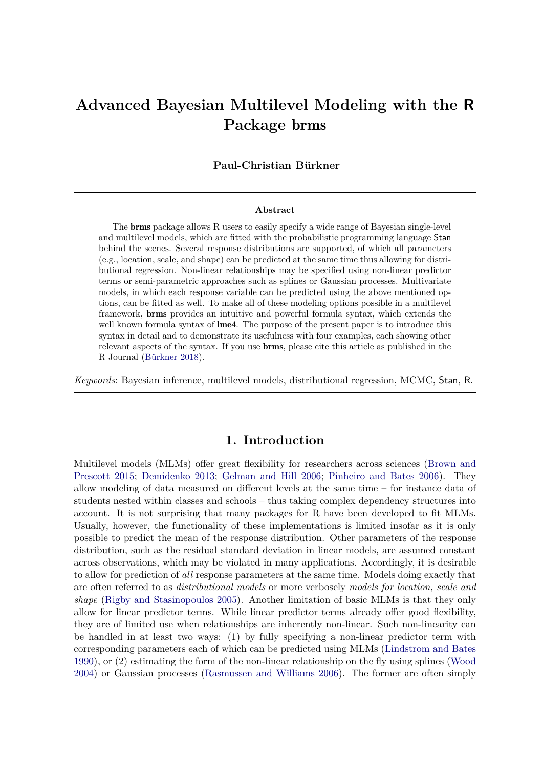# **Advanced Bayesian Multilevel Modeling with the R Package** brms

### **Paul-Christian Bürkner**

#### **Abstract**

The brms package allows R users to easily specify a wide range of Bayesian single-level and multilevel models, which are fitted with the probabilistic programming language Stan behind the scenes. Several response distributions are supported, of which all parameters (e.g., location, scale, and shape) can be predicted at the same time thus allowing for distributional regression. Non-linear relationships may be specified using non-linear predictor terms or semi-parametric approaches such as splines or Gaussian processes. Multivariate models, in which each response variable can be predicted using the above mentioned options, can be fitted as well. To make all of these modeling options possible in a multilevel framework, brms provides an intuitive and powerful formula syntax, which extends the well known formula syntax of **lme4**. The purpose of the present paper is to introduce this syntax in detail and to demonstrate its usefulness with four examples, each showing other relevant aspects of the syntax. If you use brms, please cite this article as published in the R Journal [\(Bürkner 2018\)](#page-22-0).

*Keywords*: Bayesian inference, multilevel models, distributional regression, MCMC, Stan, R.

## **1. Introduction**

Multilevel models (MLMs) offer great flexibility for researchers across sciences [\(Brown and](#page-20-0) [Prescott 2015;](#page-20-0) [Demidenko 2013;](#page-22-1) [Gelman and Hill 2006;](#page-22-2) [Pinheiro and Bates 2006\)](#page-22-3). They allow modeling of data measured on different levels at the same time – for instance data of students nested within classes and schools – thus taking complex dependency structures into account. It is not surprising that many packages for R have been developed to fit MLMs. Usually, however, the functionality of these implementations is limited insofar as it is only possible to predict the mean of the response distribution. Other parameters of the response distribution, such as the residual standard deviation in linear models, are assumed constant across observations, which may be violated in many applications. Accordingly, it is desirable to allow for prediction of *all* response parameters at the same time. Models doing exactly that are often referred to as *distributional models* or more verbosely *models for location, scale and shape* [\(Rigby and Stasinopoulos 2005\)](#page-23-0). Another limitation of basic MLMs is that they only allow for linear predictor terms. While linear predictor terms already offer good flexibility, they are of limited use when relationships are inherently non-linear. Such non-linearity can be handled in at least two ways: (1) by fully specifying a non-linear predictor term with corresponding parameters each of which can be predicted using MLMs [\(Lindstrom and Bates](#page-22-4) [1990\)](#page-22-4), or (2) estimating the form of the non-linear relationship on the fly using splines [\(Wood](#page-23-1) [2004\)](#page-23-1) or Gaussian processes [\(Rasmussen and Williams 2006\)](#page-22-5). The former are often simply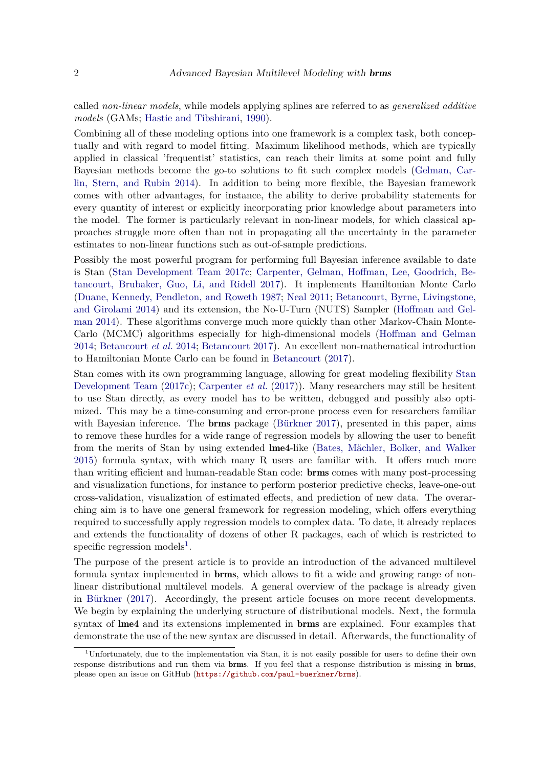called *non-linear models*, while models applying splines are referred to as *generalized additive models* (GAMs; [Hastie and Tibshirani,](#page-22-6) [1990\)](#page-22-6).

Combining all of these modeling options into one framework is a complex task, both conceptually and with regard to model fitting. Maximum likelihood methods, which are typically applied in classical 'frequentist' statistics, can reach their limits at some point and fully Bayesian methods become the go-to solutions to fit such complex models [\(Gelman, Car](#page-22-7)[lin, Stern, and Rubin 2014\)](#page-22-7). In addition to being more flexible, the Bayesian framework comes with other advantages, for instance, the ability to derive probability statements for every quantity of interest or explicitly incorporating prior knowledge about parameters into the model. The former is particularly relevant in non-linear models, for which classical approaches struggle more often than not in propagating all the uncertainty in the parameter estimates to non-linear functions such as out-of-sample predictions.

Possibly the most powerful program for performing full Bayesian inference available to date is Stan [\(Stan Development Team 2017c;](#page-23-2) [Carpenter, Gelman, Hoffman, Lee, Goodrich, Be](#page-22-8)[tancourt, Brubaker, Guo, Li, and Ridell 2017\)](#page-22-8). It implements Hamiltonian Monte Carlo [\(Duane, Kennedy, Pendleton, and Roweth 1987;](#page-22-9) [Neal 2011;](#page-22-10) [Betancourt, Byrne, Livingstone,](#page-20-1) [and Girolami 2014\)](#page-20-1) and its extension, the No-U-Turn (NUTS) Sampler [\(Hoffman and Gel](#page-22-11)[man 2014\)](#page-22-11). These algorithms converge much more quickly than other Markov-Chain Monte-Carlo (MCMC) algorithms especially for high-dimensional models [\(Hoffman and Gelman](#page-22-11) [2014;](#page-22-11) [Betancourt](#page-20-1) *et al.* [2014;](#page-20-1) [Betancourt 2017\)](#page-20-2). An excellent non-mathematical introduction to Hamiltonian Monte Carlo can be found in [Betancourt](#page-20-2) [\(2017\)](#page-20-2).

Stan comes with its own programming language, allowing for great modeling flexibility [Stan](#page-23-2) [Development Team](#page-23-2) [\(2017c\)](#page-23-2); [Carpenter](#page-22-8) *et al.* [\(2017\)](#page-22-8)). Many researchers may still be hesitent to use Stan directly, as every model has to be written, debugged and possibly also optimized. This may be a time-consuming and error-prone process even for researchers familiar with Bayesian inference. The **brms** package [\(Bürkner 2017\)](#page-20-3), presented in this paper, aims to remove these hurdles for a wide range of regression models by allowing the user to benefit from the merits of Stan by using extended lme4-like [\(Bates, Mächler, Bolker, and Walker](#page-20-4) [2015\)](#page-20-4) formula syntax, with which many R users are familiar with. It offers much more than writing efficient and human-readable Stan code: brms comes with many post-processing and visualization functions, for instance to perform posterior predictive checks, leave-one-out cross-validation, visualization of estimated effects, and prediction of new data. The overarching aim is to have one general framework for regression modeling, which offers everything required to successfully apply regression models to complex data. To date, it already replaces and extends the functionality of dozens of other R packages, each of which is restricted to specific regression models<sup>[1](#page-1-0)</sup>.

The purpose of the present article is to provide an introduction of the advanced multilevel formula syntax implemented in brms, which allows to fit a wide and growing range of nonlinear distributional multilevel models. A general overview of the package is already given in [Bürkner](#page-20-3) [\(2017\)](#page-20-3). Accordingly, the present article focuses on more recent developments. We begin by explaining the underlying structure of distributional models. Next, the formula syntax of lme4 and its extensions implemented in brms are explained. Four examples that demonstrate the use of the new syntax are discussed in detail. Afterwards, the functionality of

<span id="page-1-0"></span><sup>&</sup>lt;sup>1</sup>Unfortunately, due to the implementation via Stan, it is not easily possible for users to define their own response distributions and run them via brms. If you feel that a response distribution is missing in brms, please open an issue on GitHub (<https://github.com/paul-buerkner/brms>).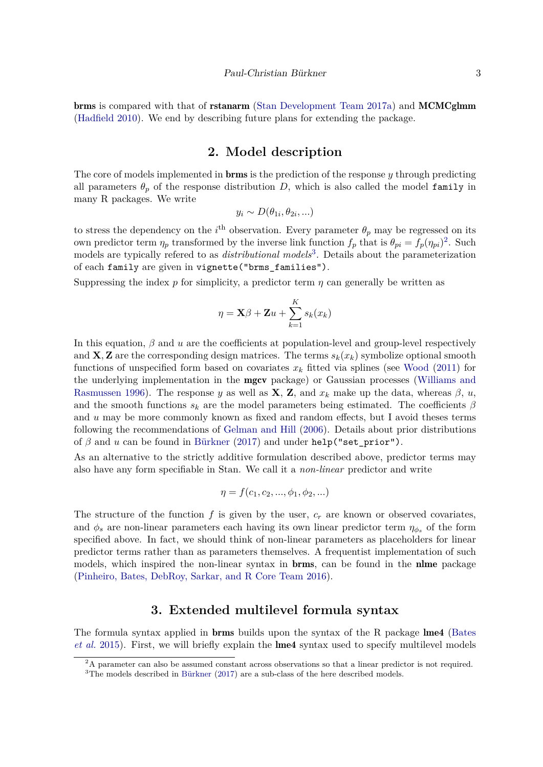brms is compared with that of rstanarm [\(Stan Development Team 2017a\)](#page-23-3) and MCMCglmm [\(Hadfield 2010\)](#page-22-12). We end by describing future plans for extending the package.

## **2. Model description**

The core of models implemented in brms is the prediction of the response *y* through predicting all parameters  $\theta_p$  of the response distribution *D*, which is also called the model family in many R packages. We write

$$
y_i \sim D(\theta_{1i}, \theta_{2i}, \ldots)
$$

to stress the dependency on the *i*<sup>th</sup> observation. Every parameter  $\theta_p$  may be regressed on its own predictor term  $\eta_p$  transformed by the inverse link function  $f_p$  that is  $\theta_{pi} = \overline{f_p}(\eta_{pi})^2$  $\theta_{pi} = \overline{f_p}(\eta_{pi})^2$ . Such models are typically refered to as *distributional models*<sup>[3](#page-2-1)</sup>. Details about the parameterization of each family are given in vignette("brms\_families").

Suppressing the index  $p$  for simplicity, a predictor term  $q$  can generally be written as

$$
\eta = \mathbf{X}\beta + \mathbf{Z}u + \sum_{k=1}^{K} s_k(x_k)
$$

In this equation,  $\beta$  and  $u$  are the coefficients at population-level and group-level respectively and **X**, **Z** are the corresponding design matrices. The terms  $s_k(x_k)$  symbolize optional smooth functions of unspecified form based on covariates  $x_k$  fitted via splines (see [Wood](#page-23-4) [\(2011\)](#page-23-4) for the underlying implementation in the mgcv package) or Gaussian processes [\(Williams and](#page-23-5) [Rasmussen 1996\)](#page-23-5). The response *y* as well as **X**, **Z**, and  $x_k$  make up the data, whereas  $\beta$ , *u*, and the smooth functions  $s_k$  are the model parameters being estimated. The coefficients  $\beta$ and *u* may be more commonly known as fixed and random effects, but I avoid theses terms following the recommendations of [Gelman and Hill](#page-22-2) [\(2006\)](#page-22-2). Details about prior distributions of *β* and *u* can be found in [Bürkner](#page-20-3) [\(2017\)](#page-20-3) and under help("set\_prior").

As an alternative to the strictly additive formulation described above, predictor terms may also have any form specifiable in Stan. We call it a *non-linear* predictor and write

$$
\eta = f(c_1, c_2, ..., \phi_1, \phi_2, ...)
$$

The structure of the function  $f$  is given by the user,  $c_r$  are known or observed covariates, and  $\phi_s$  are non-linear parameters each having its own linear predictor term  $\eta_{\phi_s}$  of the form specified above. In fact, we should think of non-linear parameters as placeholders for linear predictor terms rather than as parameters themselves. A frequentist implementation of such models, which inspired the non-linear syntax in **brms**, can be found in the **nime** package [\(Pinheiro, Bates, DebRoy, Sarkar, and R Core Team 2016\)](#page-22-13).

## **3. Extended multilevel formula syntax**

The formula syntax applied in brms builds upon the syntax of the R package lme4 [\(Bates](#page-20-4) *[et al.](#page-20-4)* [2015\)](#page-20-4). First, we will briefly explain the lme4 syntax used to specify multilevel models

<span id="page-2-1"></span><span id="page-2-0"></span><sup>2</sup>A parameter can also be assumed constant across observations so that a linear predictor is not required. <sup>3</sup>The models described in [Bürkner](#page-20-3) [\(2017\)](#page-20-3) are a sub-class of the here described models.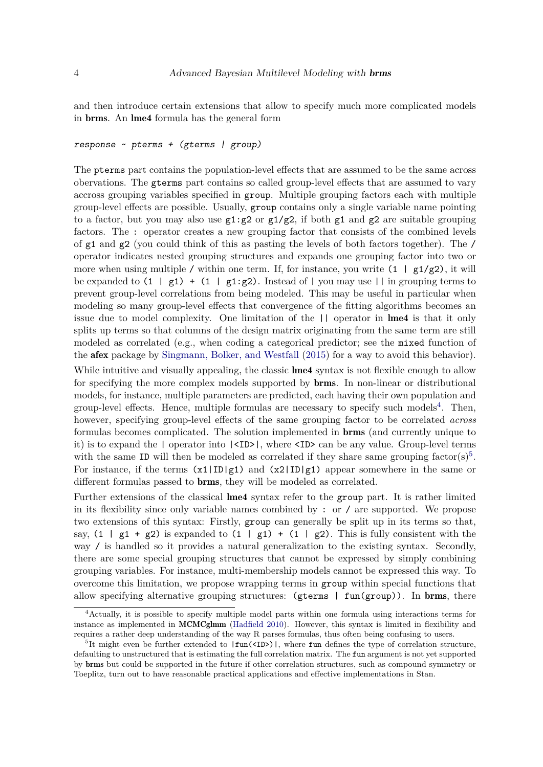and then introduce certain extensions that allow to specify much more complicated models in brms. An lme4 formula has the general form

#### *response ~ pterms + (gterms | group)*

The pterms part contains the population-level effects that are assumed to be the same across obervations. The gterms part contains so called group-level effects that are assumed to vary accross grouping variables specified in group. Multiple grouping factors each with multiple group-level effects are possible. Usually, group contains only a single variable name pointing to a factor, but you may also use  $g_1 : g_2$  or  $g_1/g_2$ , if both  $g_1$  and  $g_2$  are suitable grouping factors. The : operator creates a new grouping factor that consists of the combined levels of g1 and g2 (you could think of this as pasting the levels of both factors together). The / operator indicates nested grouping structures and expands one grouping factor into two or more when using multiple / within one term. If, for instance, you write  $(1 + g1/g2)$ , it will be expanded to  $(1 \mid g1) + (1 \mid g1:g2)$ . Instead of | you may use || in grouping terms to prevent group-level correlations from being modeled. This may be useful in particular when modeling so many group-level effects that convergence of the fitting algorithms becomes an issue due to model complexity. One limitation of the || operator in lme4 is that it only splits up terms so that columns of the design matrix originating from the same term are still modeled as correlated (e.g., when coding a categorical predictor; see the mixed function of the afex package by [Singmann, Bolker, and Westfall](#page-23-6) [\(2015\)](#page-23-6) for a way to avoid this behavior).

While intuitive and visually appealing, the classic **lme4** syntax is not flexible enough to allow for specifying the more complex models supported by brms. In non-linear or distributional models, for instance, multiple parameters are predicted, each having their own population and group-level effects. Hence, multiple formulas are necessary to specify such models<sup>[4](#page-3-0)</sup>. Then, however, specifying group-level effects of the same grouping factor to be correlated *across* formulas becomes complicated. The solution implemented in brms (and currently unique to it) is to expand the | operator into |<ID>|, where <ID> can be any value. Group-level terms with the same ID will then be modeled as correlated if they share same grouping factor(s)<sup>[5](#page-3-1)</sup>. For instance, if the terms  $(x1|ID|g1)$  and  $(x2|ID|g1)$  appear somewhere in the same or different formulas passed to brms, they will be modeled as correlated.

Further extensions of the classical lme4 syntax refer to the group part. It is rather limited in its flexibility since only variable names combined by : or / are supported. We propose two extensions of this syntax: Firstly, group can generally be split up in its terms so that, say,  $(1 \mid g1 + g2)$  is expanded to  $(1 \mid g1) + (1 \mid g2)$ . This is fully consistent with the way / is handled so it provides a natural generalization to the existing syntax. Secondly, there are some special grouping structures that cannot be expressed by simply combining grouping variables. For instance, multi-membership models cannot be expressed this way. To overcome this limitation, we propose wrapping terms in group within special functions that allow specifying alternative grouping structures:  $(gterms \mid fun(group))$ . In brms, there

<span id="page-3-0"></span><sup>4</sup>Actually, it is possible to specify multiple model parts within one formula using interactions terms for instance as implemented in MCMCglmm [\(Hadfield 2010\)](#page-22-12). However, this syntax is limited in flexibility and requires a rather deep understanding of the way R parses formulas, thus often being confusing to users.

<span id="page-3-1"></span><sup>&</sup>lt;sup>5</sup>It might even be further extended to  $|\text{fun}(\text{SID>})|$ , where fun defines the type of correlation structure, defaulting to unstructured that is estimating the full correlation matrix. The fun argument is not yet supported by brms but could be supported in the future if other correlation structures, such as compound symmetry or Toeplitz, turn out to have reasonable practical applications and effective implementations in Stan.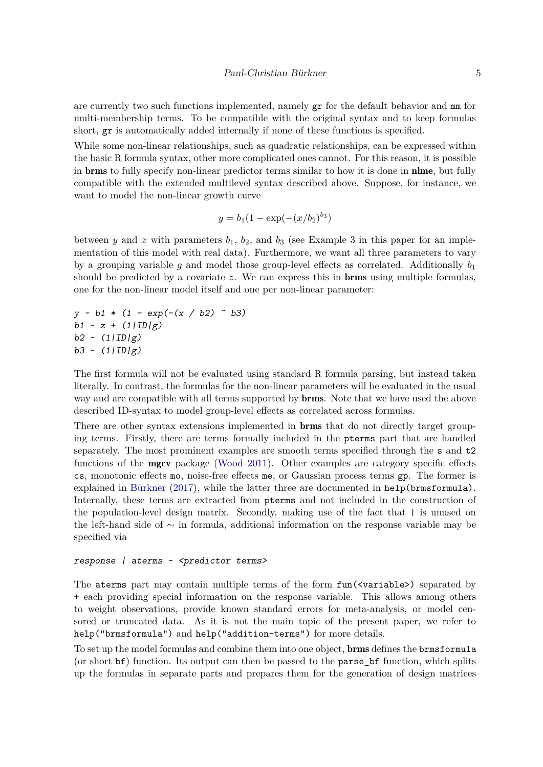are currently two such functions implemented, namely gr for the default behavior and mm for multi-membership terms. To be compatible with the original syntax and to keep formulas short, gr is automatically added internally if none of these functions is specified.

While some non-linear relationships, such as quadratic relationships, can be expressed within the basic R formula syntax, other more complicated ones cannot. For this reason, it is possible in brms to fully specify non-linear predictor terms similar to how it is done in nlme, but fully compatible with the extended multilevel syntax described above. Suppose, for instance, we want to model the non-linear growth curve

$$
y = b_1(1 - \exp(-(x/b_2)^{b_3})
$$

between *y* and *x* with parameters  $b_1$ ,  $b_2$ , and  $b_3$  (see Example 3 in this paper for an implementation of this model with real data). Furthermore, we want all three parameters to vary by a grouping variable *q* and model those group-level effects as correlated. Additionally  $b_1$ should be predicted by a covariate *z*. We can express this in brms using multiple formulas, one for the non-linear model itself and one per non-linear parameter:

$$
y \sim b1 * (1 - \exp(-(x / b2) \cap b3))
$$
  
\n
$$
b1 \sim z + (1/\text{ID/g})
$$
  
\n
$$
b2 \sim (1/\text{ID/g})
$$
  
\n
$$
b3 \sim (1/\text{ID/g})
$$

The first formula will not be evaluated using standard R formula parsing, but instead taken literally. In contrast, the formulas for the non-linear parameters will be evaluated in the usual way and are compatible with all terms supported by **brms**. Note that we have used the above described ID-syntax to model group-level effects as correlated across formulas.

There are other syntax extensions implemented in brms that do not directly target grouping terms. Firstly, there are terms formally included in the pterms part that are handled separately. The most prominent examples are smooth terms specified through the s and t2 functions of the mgcv package [\(Wood 2011\)](#page-23-4). Other examples are category specific effects cs, monotonic effects mo, noise-free effects me, or Gaussian process terms gp. The former is explained in [Bürkner](#page-20-3) [\(2017\)](#page-20-3), while the latter three are documented in help(brmsformula). Internally, these terms are extracted from pterms and not included in the construction of the population-level design matrix. Secondly, making use of the fact that | is unused on the left-hand side of ∼ in formula, additional information on the response variable may be specified via

#### *response | aterms ~ <predictor terms>*

The aterms part may contain multiple terms of the form  $fun(\langle variable \rangle)$  separated by + each providing special information on the response variable. This allows among others to weight observations, provide known standard errors for meta-analysis, or model censored or truncated data. As it is not the main topic of the present paper, we refer to help("brmsformula") and help("addition-terms") for more details.

To set up the model formulas and combine them into one object, brms defines the brmsformula (or short bf) function. Its output can then be passed to the parse\_bf function, which splits up the formulas in separate parts and prepares them for the generation of design matrices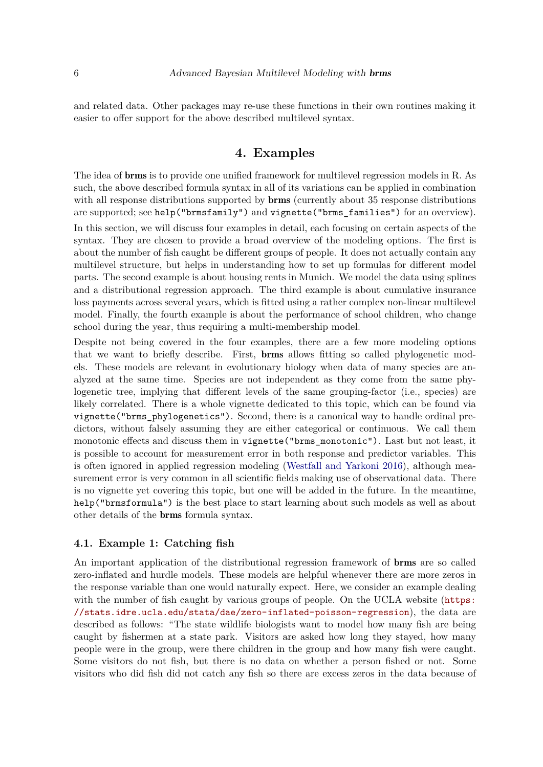and related data. Other packages may re-use these functions in their own routines making it easier to offer support for the above described multilevel syntax.

## **4. Examples**

The idea of brms is to provide one unified framework for multilevel regression models in R. As such, the above described formula syntax in all of its variations can be applied in combination with all response distributions supported by **brms** (currently about 35 response distributions are supported; see help("brmsfamily") and vignette("brms\_families") for an overview).

In this section, we will discuss four examples in detail, each focusing on certain aspects of the syntax. They are chosen to provide a broad overview of the modeling options. The first is about the number of fish caught be different groups of people. It does not actually contain any multilevel structure, but helps in understanding how to set up formulas for different model parts. The second example is about housing rents in Munich. We model the data using splines and a distributional regression approach. The third example is about cumulative insurance loss payments across several years, which is fitted using a rather complex non-linear multilevel model. Finally, the fourth example is about the performance of school children, who change school during the year, thus requiring a multi-membership model.

Despite not being covered in the four examples, there are a few more modeling options that we want to briefly describe. First, brms allows fitting so called phylogenetic models. These models are relevant in evolutionary biology when data of many species are analyzed at the same time. Species are not independent as they come from the same phylogenetic tree, implying that different levels of the same grouping-factor (i.e., species) are likely correlated. There is a whole vignette dedicated to this topic, which can be found via vignette("brms\_phylogenetics"). Second, there is a canonical way to handle ordinal predictors, without falsely assuming they are either categorical or continuous. We call them monotonic effects and discuss them in vignette("brms\_monotonic"). Last but not least, it is possible to account for measurement error in both response and predictor variables. This is often ignored in applied regression modeling [\(Westfall and Yarkoni 2016\)](#page-23-7), although measurement error is very common in all scientific fields making use of observational data. There is no vignette yet covering this topic, but one will be added in the future. In the meantime, help("brmsformula") is the best place to start learning about such models as well as about other details of the brms formula syntax.

### **4.1. Example 1: Catching fish**

An important application of the distributional regression framework of brms are so called zero-inflated and hurdle models. These models are helpful whenever there are more zeros in the response variable than one would naturally expect. Here, we consider an example dealing with the number of fish caught by various groups of people. On the UCLA website ([https:](https://stats.idre.ucla.edu/stata/dae/zero-inflated-poisson-regression) [//stats.idre.ucla.edu/stata/dae/zero-inflated-poisson-regression](https://stats.idre.ucla.edu/stata/dae/zero-inflated-poisson-regression)), the data are described as follows: "The state wildlife biologists want to model how many fish are being caught by fishermen at a state park. Visitors are asked how long they stayed, how many people were in the group, were there children in the group and how many fish were caught. Some visitors do not fish, but there is no data on whether a person fished or not. Some visitors who did fish did not catch any fish so there are excess zeros in the data because of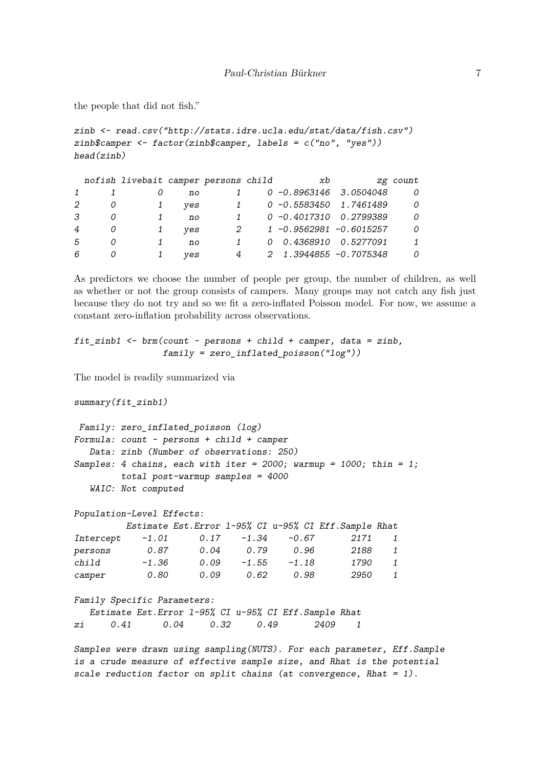the people that did not fish."

```
zinb <- read.csv("http://stats.idre.ucla.edu/stat/data/fish.csv")
zinb$camper <- factor(zinb$camper, labels = c("no", "yes"))
head(zinb)
```

|                |   | nofish livebait camper persons child |     |              | xb                    |                           | zg count     |
|----------------|---|--------------------------------------|-----|--------------|-----------------------|---------------------------|--------------|
|                |   |                                      | no  |              |                       | $0 -0.8963146$ 3.0504048  | 0            |
| 2              | O |                                      | ves |              |                       | $0 -0.5583450$ 1.7461489  | 0            |
| 3              |   |                                      | no  | $\mathbf{1}$ |                       | $0 - 0.4017310$ 0.2799389 | 0            |
| $\overline{4}$ | 0 |                                      | ves | 2            |                       | 1 -0.9562981 -0.6015257   | 0            |
| 5              |   |                                      | no  | 1            | 0 0.4368910 0.5277091 |                           | $\mathbf{1}$ |
| 6              | O |                                      | ves | 4            |                       | 2 1.3944855 -0.7075348    | 0            |

As predictors we choose the number of people per group, the number of children, as well as whether or not the group consists of campers. Many groups may not catch any fish just because they do not try and so we fit a zero-inflated Poisson model. For now, we assume a constant zero-inflation probability across observations.

```
fit_zinb1 <- brm(count ~ persons + child + camper, data = zinb,
                 family = zero_inflated_poisson("log"))
```
The model is readily summarized via

*summary(fit\_zinb1)*

```
Family: zero_inflated_poisson (log)
Formula: count ~ persons + child + camper
  Data: zinb (Number of observations: 250)
Samples: 4 chains, each with iter = 2000; warmup = 1000; thin = 1;
         total post-warmup samples = 4000
  WAIC: Not computed
```
*Population-Level Effects: Estimate Est.Error l-95% CI u-95% CI Eff.Sample Rhat*

| Intercept | $-1.01$ | 0.17 | $-1.34$ | $-0.67$ | 2171 | 1            |
|-----------|---------|------|---------|---------|------|--------------|
| persons   | 0.87    | 0.04 | 0.79    | 0.96    | 2188 | 1            |
| child     | $-1.36$ | 0.09 | $-1.55$ | $-1.18$ | 1790 | $\mathbf{1}$ |
| camper    | 0.80    | 0.09 | 0.62    | 0.98    | 2950 | 1            |

```
Family Specific Parameters:
  Estimate Est.Error l-95% CI u-95% CI Eff.Sample Rhat
zi 0.41 0.04 0.32 0.49 2409 1
```
*Samples were drawn using sampling(NUTS). For each parameter, Eff.Sample is a crude measure of effective sample size, and Rhat is the potential scale reduction factor on split chains (at convergence, Rhat = 1).*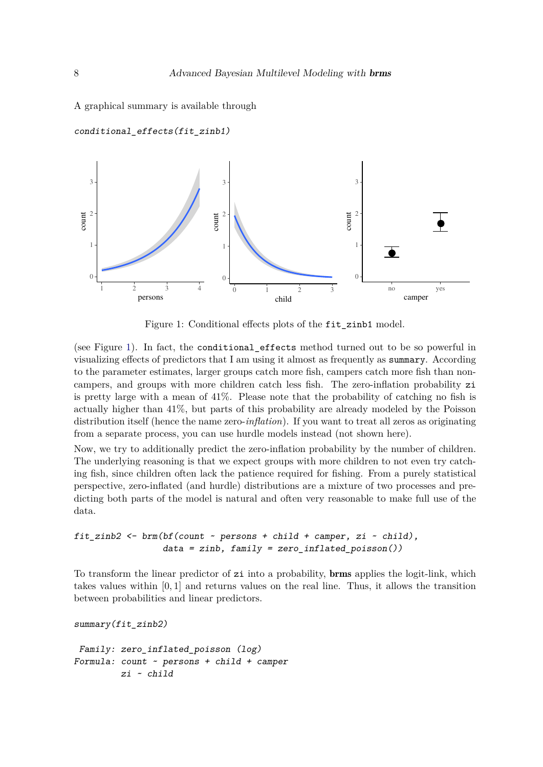A graphical summary is available through



*conditional\_effects(fit\_zinb1)*

<span id="page-7-0"></span>Figure 1: Conditional effects plots of the fit zinb1 model.

(see Figure [1\)](#page-7-0). In fact, the conditional\_effects method turned out to be so powerful in visualizing effects of predictors that I am using it almost as frequently as summary. According to the parameter estimates, larger groups catch more fish, campers catch more fish than noncampers, and groups with more children catch less fish. The zero-inflation probability zi is pretty large with a mean of 41%. Please note that the probability of catching no fish is actually higher than 41%, but parts of this probability are already modeled by the Poisson distribution itself (hence the name zero-*inflation*). If you want to treat all zeros as originating from a separate process, you can use hurdle models instead (not shown here).

Now, we try to additionally predict the zero-inflation probability by the number of children. The underlying reasoning is that we expect groups with more children to not even try catching fish, since children often lack the patience required for fishing. From a purely statistical perspective, zero-inflated (and hurdle) distributions are a mixture of two processes and predicting both parts of the model is natural and often very reasonable to make full use of the data.

#### *fit\_zinb2 <- brm(bf(count ~ persons + child + camper, zi ~ child), data = zinb, family = zero\_inflated\_poisson())*

To transform the linear predictor of zi into a probability, brms applies the logit-link, which takes values within [0*,* 1] and returns values on the real line. Thus, it allows the transition between probabilities and linear predictors.

```
summary(fit_zinb2)
```

```
Family: zero_inflated_poisson (log)
Formula: count ~ persons + child + camper
         zi ~ child
```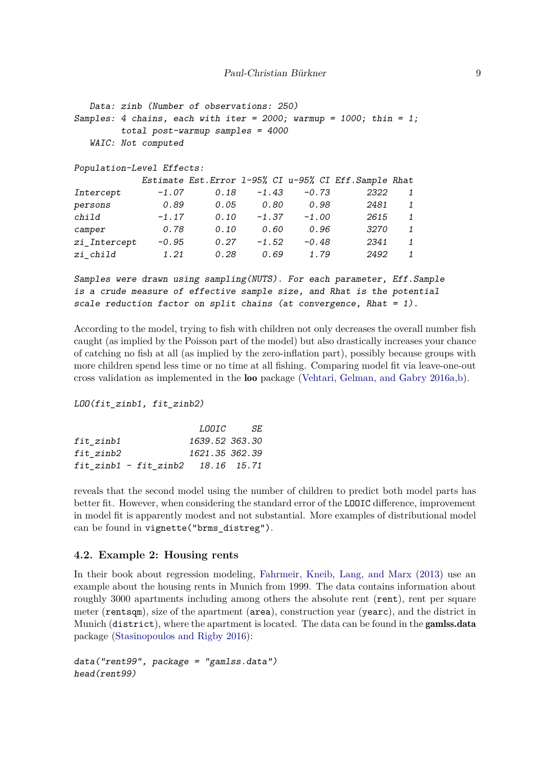```
Data: zinb (Number of observations: 250)
Samples: 4 chains, each with iter = 2000; warmup = 1000; thin = 1;
      total post-warmup samples = 4000
  WAIC: Not computed
Population-Level Effects:
         Estimate Est.Error l-95% CI u-95% CI Eff.Sample Rhat
Intercept -1.07 0.18 -1.43 -0.73 2322 1
persons 0.89 0.05 0.80 0.98 2481 1
child -1.17 0.10 -1.37 -1.00 2615 1
camper 0.78 0.10 0.60 0.96 3270 1
zi_Intercept -0.95 0.27 -1.52 -0.48 2341 1
zi_child 1.21 0.28 0.69 1.79 2492 1
Samples were drawn using sampling(NUTS). For each parameter, Eff.Sample
```
*is a crude measure of effective sample size, and Rhat is the potential scale reduction factor on split chains (at convergence, Rhat = 1).*

According to the model, trying to fish with children not only decreases the overall number fish caught (as implied by the Poisson part of the model) but also drastically increases your chance of catching no fish at all (as implied by the zero-inflation part), possibly because groups with more children spend less time or no time at all fishing. Comparing model fit via leave-one-out cross validation as implemented in the loo package [\(Vehtari, Gelman, and Gabry 2016a,](#page-23-8)[b\)](#page-23-9).

#### *LOO(fit\_zinb1, fit\_zinb2)*

|                                         | LOOIC          | -SE |
|-----------------------------------------|----------------|-----|
| fit zinb1                               | 1639.52 363.30 |     |
| fit zinb2                               | 1621.35 362.39 |     |
| $fit$ zinb1 - $fit$ zinb2 $18.16$ 15.71 |                |     |

reveals that the second model using the number of children to predict both model parts has better fit. However, when considering the standard error of the LOOIC difference, improvement in model fit is apparently modest and not substantial. More examples of distributional model can be found in vignette("brms\_distreg").

#### **4.2. Example 2: Housing rents**

In their book about regression modeling, [Fahrmeir, Kneib, Lang, and Marx](#page-22-14) [\(2013\)](#page-22-14) use an example about the housing rents in Munich from 1999. The data contains information about roughly 3000 apartments including among others the absolute rent (rent), rent per square meter (rentsqm), size of the apartment (area), construction year (yearc), and the district in Munich (district), where the apartment is located. The data can be found in the gamlss.data package [\(Stasinopoulos and Rigby 2016\)](#page-23-10):

```
data("rent99", package = "gamlss.data")
head(rent99)
```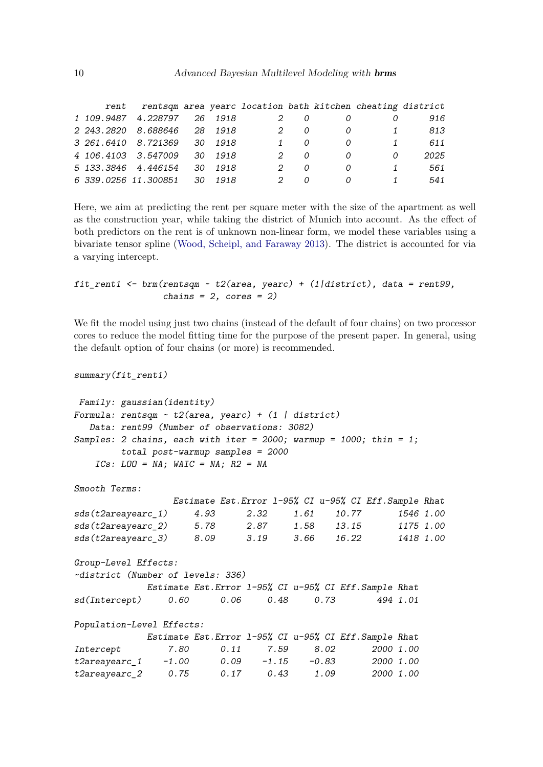| rent |                              |  |   |   |          | rentsqm area yearc location bath kitchen cheating district |      |
|------|------------------------------|--|---|---|----------|------------------------------------------------------------|------|
|      | 1 109.9487 4.228797 26 1918  |  | 2 |   |          |                                                            | 916  |
|      | 2 243.2820 8.688646 28 1918  |  |   | O | 0        | $\overline{1}$                                             | 813  |
|      | 3 261.6410 8.721369 30 1918  |  |   |   | 0        | 1                                                          | 611  |
|      | 4 106.4103 3.547009 30 1918  |  |   | n | $\Omega$ | 0                                                          | 2025 |
|      | 5 133.3846 4.446154 30 1918  |  | 2 | O | 0        | $\mathbf{1}$                                               | 561  |
|      | 6 339.0256 11.300851 30 1918 |  | 2 | n | 0        | 1                                                          | 541  |

Here, we aim at predicting the rent per square meter with the size of the apartment as well as the construction year, while taking the district of Munich into account. As the effect of both predictors on the rent is of unknown non-linear form, we model these variables using a bivariate tensor spline [\(Wood, Scheipl, and Faraway 2013\)](#page-23-11). The district is accounted for via a varying intercept.

```
fit_rent1 <- brm(rentsqm ~ t2(area, yearc) + (1|district), data = rent99,
                 chains = 2, cores = 2)
```
We fit the model using just two chains (instead of the default of four chains) on two processor cores to reduce the model fitting time for the purpose of the present paper. In general, using the default option of four chains (or more) is recommended.

```
summary(fit_rent1)
```

```
Family: gaussian(identity)
Formula: rentsqm ~ t2(area, yearc) + (1 | district)
  Data: rent99 (Number of observations: 3082)
Samples: 2 chains, each with iter = 2000; warmup = 1000; thin = 1;
       total post-warmup samples = 2000
   ICs: LOO = NA; WAIC = NA; R2 = NA
Smooth Terms:
                Estimate Est.Error l-95% CI u-95% CI Eff.Sample Rhat
sds(t2areayearc_1) 4.93 2.32 1.61 10.77 1546 1.00
sds(t2areayearc_2) 5.78 2.87 1.58 13.15 1175 1.00
sds(t2areayearc_3) 8.09 3.19 3.66 16.22 1418 1.00
Group-Level Effects:
~district (Number of levels: 336)
           Estimate Est.Error l-95% CI u-95% CI Eff.Sample Rhat
sd(Intercept) 0.60 0.06 0.48 0.73 494 1.01
Population-Level Effects:
           Estimate Est.Error l-95% CI u-95% CI Eff.Sample Rhat
Intercept 7.80 0.11 7.59 8.02 2000 1.00
t2areayearc_1 -1.00 0.09 -1.15 -0.83 2000 1.00
t2areayearc_2 0.75 0.17 0.43 1.09 2000 1.00
```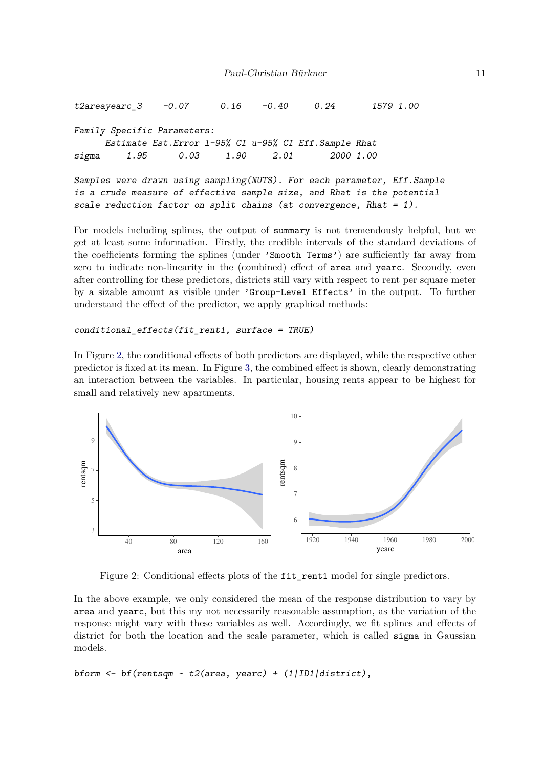```
t2areayearc_3 -0.07 0.16 -0.40 0.24 1579 1.00
Family Specific Parameters:
     Estimate Est.Error l-95% CI u-95% CI Eff.Sample Rhat
sigma 1.95 0.03 1.90 2.01 2000 1.00
Samples were drawn using sampling(NUTS). For each parameter, Eff.Sample
is a crude measure of effective sample size, and Rhat is the potential
scale reduction factor on split chains (at convergence, Rhat = 1).
```
For models including splines, the output of summary is not tremendously helpful, but we get at least some information. Firstly, the credible intervals of the standard deviations of the coefficients forming the splines (under 'Smooth Terms') are sufficiently far away from zero to indicate non-linearity in the (combined) effect of area and yearc. Secondly, even after controlling for these predictors, districts still vary with respect to rent per square meter by a sizable amount as visible under 'Group-Level Effects' in the output. To further understand the effect of the predictor, we apply graphical methods:

```
conditional_effects(fit_rent1, surface = TRUE)
```
In Figure [2,](#page-10-0) the conditional effects of both predictors are displayed, while the respective other predictor is fixed at its mean. In Figure [3,](#page-11-0) the combined effect is shown, clearly demonstrating an interaction between the variables. In particular, housing rents appear to be highest for small and relatively new apartments.



<span id="page-10-0"></span>Figure 2: Conditional effects plots of the fit\_rent1 model for single predictors.

In the above example, we only considered the mean of the response distribution to vary by area and yearc, but this my not necessarily reasonable assumption, as the variation of the response might vary with these variables as well. Accordingly, we fit splines and effects of district for both the location and the scale parameter, which is called sigma in Gaussian models.

*bform <- bf(rentsqm ~ t2(area, yearc) + (1|ID1|district),*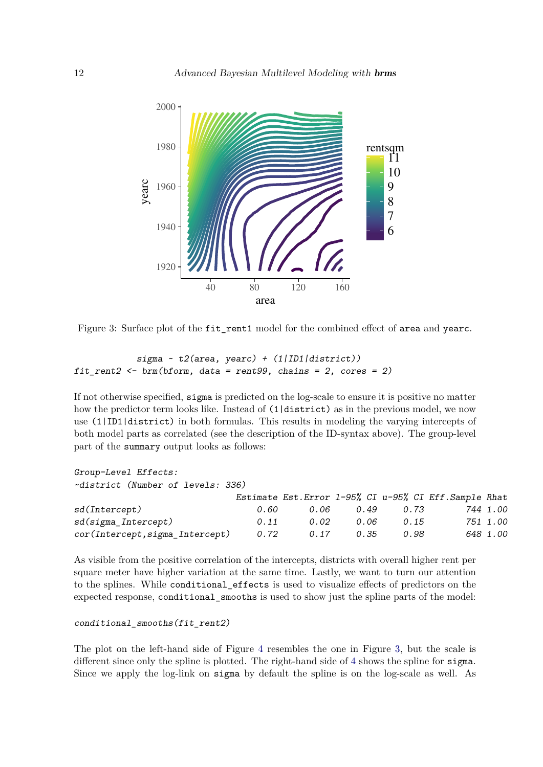

<span id="page-11-0"></span>Figure 3: Surface plot of the fit rent1 model for the combined effect of area and yearc.

```
sigma ~ t2(area, yearc) + (1|ID1|district))
fit_rent2 <- brm(bform, data = rent99, chains = 2, cores = 2)
```
If not otherwise specified, sigma is predicted on the log-scale to ensure it is positive no matter how the predictor term looks like. Instead of  $(1|$ district) as in the previous model, we now use (1|ID1|district) in both formulas. This results in modeling the varying intercepts of both model parts as correlated (see the description of the ID-syntax above). The group-level part of the summary output looks as follows:

#### *Group-Level Effects:*

*~district (Number of levels: 336)*

|                                 |      |      |      |      | Estimate Est. Error 1-95% CI u-95% CI Eff. Sample Rhat |          |
|---------------------------------|------|------|------|------|--------------------------------------------------------|----------|
| sd(Intercept)                   | 0.60 | 0.06 | 0.49 | 0.73 |                                                        | 744 1.00 |
| sd(sigma_Intercept)             | 0.11 | 0.02 | 0.06 | 0.15 |                                                        | 751 1.00 |
| cor(Intercept, sigma_Intercept) | 0.72 | 0.17 | 0.35 | 0.98 |                                                        | 648 1.00 |

As visible from the positive correlation of the intercepts, districts with overall higher rent per square meter have higher variation at the same time. Lastly, we want to turn our attention to the splines. While conditional\_effects is used to visualize effects of predictors on the expected response, conditional\_smooths is used to show just the spline parts of the model:

#### *conditional\_smooths(fit\_rent2)*

The plot on the left-hand side of Figure [4](#page-12-0) resembles the one in Figure [3,](#page-11-0) but the scale is different since only the spline is plotted. The right-hand side of [4](#page-12-0) shows the spline for sigma. Since we apply the log-link on sigma by default the spline is on the log-scale as well. As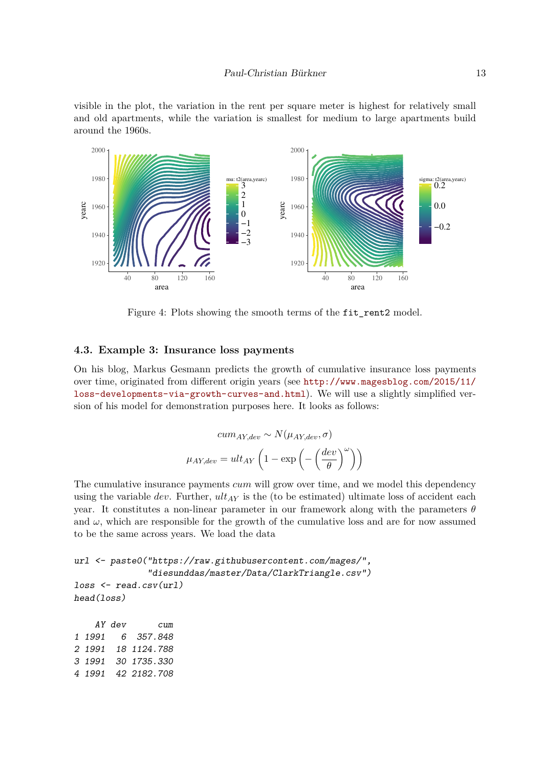visible in the plot, the variation in the rent per square meter is highest for relatively small and old apartments, while the variation is smallest for medium to large apartments build around the 1960s.



<span id="page-12-0"></span>Figure 4: Plots showing the smooth terms of the fit\_rent2 model.

#### **4.3. Example 3: Insurance loss payments**

On his blog, Markus Gesmann predicts the growth of cumulative insurance loss payments over time, originated from different origin years (see [http://www.magesblog.com/2015/11/](http://www.magesblog.com/2015/11/loss-developments-via-growth-curves-and.html) [loss-developments-via-growth-curves-and.html](http://www.magesblog.com/2015/11/loss-developments-via-growth-curves-and.html)). We will use a slightly simplified version of his model for demonstration purposes here. It looks as follows:

$$
cum_{AY,dev} \sim N(\mu_{AY,dev}, \sigma)
$$

$$
\mu_{AY,dev} = ult_{AY} \left( 1 - \exp\left( -\left(\frac{dev}{\theta}\right)^{\omega} \right) \right)
$$

The cumulative insurance payments *cum* will grow over time, and we model this dependency using the variable  $dev$ . Further,  $ult_{AY}$  is the (to be estimated) ultimate loss of accident each year. It constitutes a non-linear parameter in our framework along with the parameters *θ* and  $\omega$ , which are responsible for the growth of the cumulative loss and are for now assumed to be the same across years. We load the data

```
url <- paste0("https://raw.githubusercontent.com/mages/",
              "diesunddas/master/Data/ClarkTriangle.csv")
loss <- read.csv(url)
head(loss)
```
*AY dev cum 1 1991 6 357.848 2 1991 18 1124.788 3 1991 30 1735.330 4 1991 42 2182.708*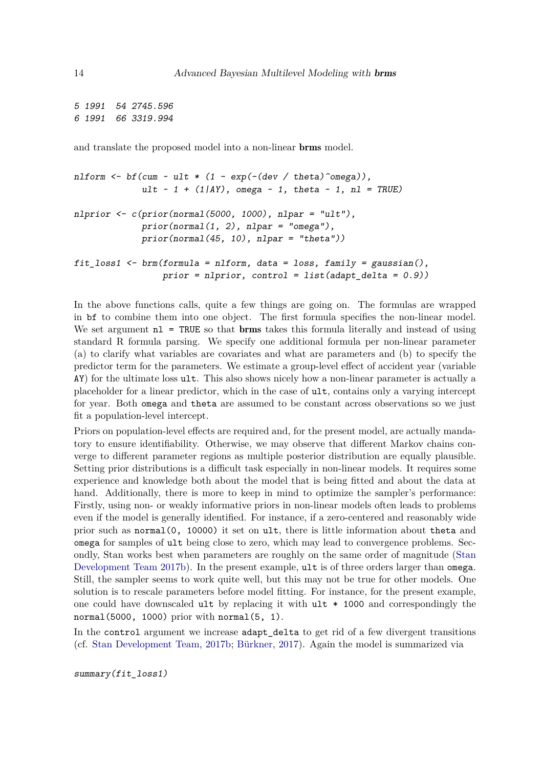*5 1991 54 2745.596 6 1991 66 3319.994*

and translate the proposed model into a non-linear brms model.

```
nlform <- bf(cum ~ ult * (1 - exp(-(dev / theta)^omega)),
             ult ~ 1 + (1|AY), omega ~ 1, theta ~ 1, nl = TRUE)
nlprior <- c(prior(normal(5000, 1000), nlpar = "ult"),
             prior(normal(1, 2), nlpar = "omega"),
             prior(normal(45, 10), nlpar = "theta"))
fit_loss1 <- brm(formula = nlform, data = loss, family = gaussian(),
                 prior = nlprior, control = list(adapt_delta = 0.9))
```
In the above functions calls, quite a few things are going on. The formulas are wrapped in bf to combine them into one object. The first formula specifies the non-linear model. We set argument  $nl$  = TRUE so that brms takes this formula literally and instead of using standard R formula parsing. We specify one additional formula per non-linear parameter (a) to clarify what variables are covariates and what are parameters and (b) to specify the predictor term for the parameters. We estimate a group-level effect of accident year (variable AY) for the ultimate loss ult. This also shows nicely how a non-linear parameter is actually a placeholder for a linear predictor, which in the case of ult, contains only a varying intercept for year. Both omega and theta are assumed to be constant across observations so we just fit a population-level intercept.

Priors on population-level effects are required and, for the present model, are actually mandatory to ensure identifiability. Otherwise, we may observe that different Markov chains converge to different parameter regions as multiple posterior distribution are equally plausible. Setting prior distributions is a difficult task especially in non-linear models. It requires some experience and knowledge both about the model that is being fitted and about the data at hand. Additionally, there is more to keep in mind to optimize the sampler's performance: Firstly, using non- or weakly informative priors in non-linear models often leads to problems even if the model is generally identified. For instance, if a zero-centered and reasonably wide prior such as normal(0, 10000) it set on ult, there is little information about theta and omega for samples of ult being close to zero, which may lead to convergence problems. Secondly, Stan works best when parameters are roughly on the same order of magnitude [\(Stan](#page-23-12) [Development Team 2017b\)](#page-23-12). In the present example, ult is of three orders larger than omega. Still, the sampler seems to work quite well, but this may not be true for other models. One solution is to rescale parameters before model fitting. For instance, for the present example, one could have downscaled ult by replacing it with  $ult * 1000$  and correspondingly the normal(5000, 1000) prior with normal(5, 1).

In the control argument we increase adapt\_delta to get rid of a few divergent transitions (cf. [Stan Development Team,](#page-23-12) [2017b;](#page-23-12) [Bürkner,](#page-20-3) [2017\)](#page-20-3). Again the model is summarized via

```
summary(fit_loss1)
```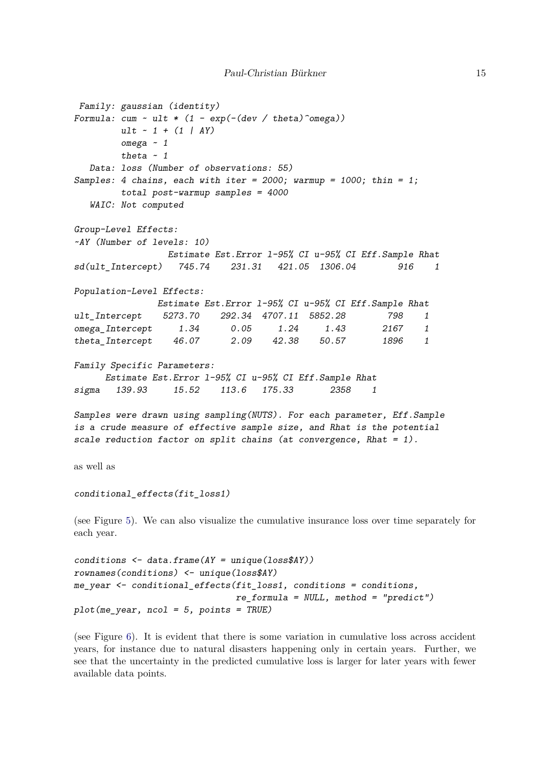```
Family: gaussian (identity)
Formula: cum ~ ult * (1 - exp(-(dev / theta)^omega))
        ult ~ 1 + (1 | AY)
        omega ~ 1
        theta ~ 1
  Data: loss (Number of observations: 55)
Samples: 4 chains, each with iter = 2000; warmup = 1000; thin = 1;
        total post-warmup samples = 4000
  WAIC: Not computed
Group-Level Effects:
~AY (Number of levels: 10)
                 Estimate Est.Error l-95% CI u-95% CI Eff.Sample Rhat
sd(ult_Intercept) 745.74 231.31 421.05 1306.04 916 1
Population-Level Effects:
               Estimate Est.Error l-95% CI u-95% CI Eff.Sample Rhat
ult_Intercept 5273.70 292.34 4707.11 5852.28 798 1
omega_Intercept 1.34 0.05 1.24 1.43 2167 1
theta_Intercept 46.07 2.09 42.38 50.57 1896 1
Family Specific Parameters:
     Estimate Est.Error l-95% CI u-95% CI Eff.Sample Rhat
sigma 139.93 15.52 113.6 175.33 2358 1
Samples were drawn using sampling(NUTS). For each parameter, Eff.Sample
is a crude measure of effective sample size, and Rhat is the potential
scale reduction factor on split chains (at convergence, Rhat = 1).
as well as
conditional_effects(fit_loss1)
(see Figure 5). We can also visualize the cumulative insurance loss over time separately for
each year.
conditions <- data.frame(AY = unique(loss$AY))
```

```
rownames(conditions) <- unique(loss$AY)
me_year <- conditional_effects(fit_loss1, conditions = conditions,
                               re_formula = NULL, method = "predict")
plot(me_year, ncol = 5, points = TRUE)
```
(see Figure [6\)](#page-16-0). It is evident that there is some variation in cumulative loss across accident years, for instance due to natural disasters happening only in certain years. Further, we see that the uncertainty in the predicted cumulative loss is larger for later years with fewer available data points.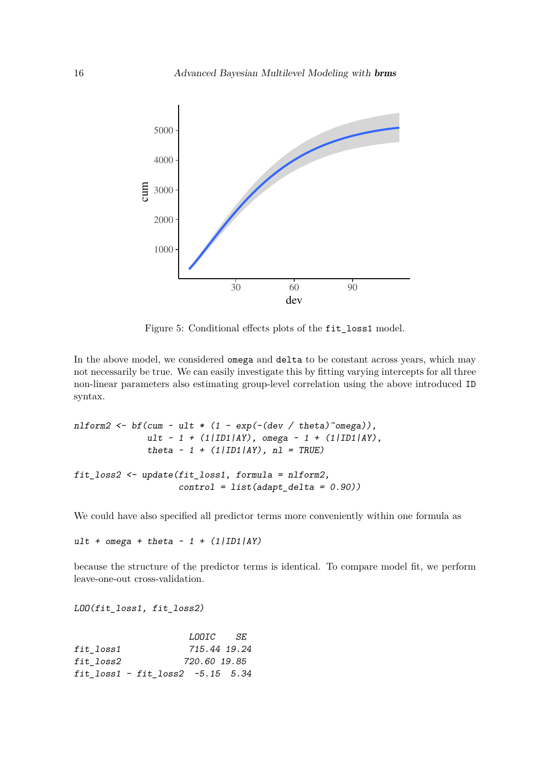

<span id="page-15-0"></span>Figure 5: Conditional effects plots of the fit\_loss1 model.

In the above model, we considered omega and delta to be constant across years, which may not necessarily be true. We can easily investigate this by fitting varying intercepts for all three non-linear parameters also estimating group-level correlation using the above introduced ID syntax.

```
nlform2 <- bf(cum ~ ult * (1 - exp(-(dev / theta)^omega)),
              ult ~ 1 + (1|ID1|AY), omega ~ 1 + (1|ID1|AY),
              theta ~ 1 + (1|ID1|AY), nl = TRUE)
fit_loss2 <- update(fit_loss1, formula = nlform2,
                    control = list(adapt_delta = 0.90))
```
We could have also specified all predictor terms more conveniently within one formula as

*ult + omega + theta ~ 1 + (1|ID1|AY)*

because the structure of the predictor terms is identical. To compare model fit, we perform leave-one-out cross-validation.

*LOO(fit\_loss1, fit\_loss2)*

|                                  | <i>LOOIC</i> SE |  |
|----------------------------------|-----------------|--|
| fit loss1                        | 715.44 19.24    |  |
| fit loss2                        | 720.60 19.85    |  |
| fit loss1 - fit loss2 -5.15 5.34 |                 |  |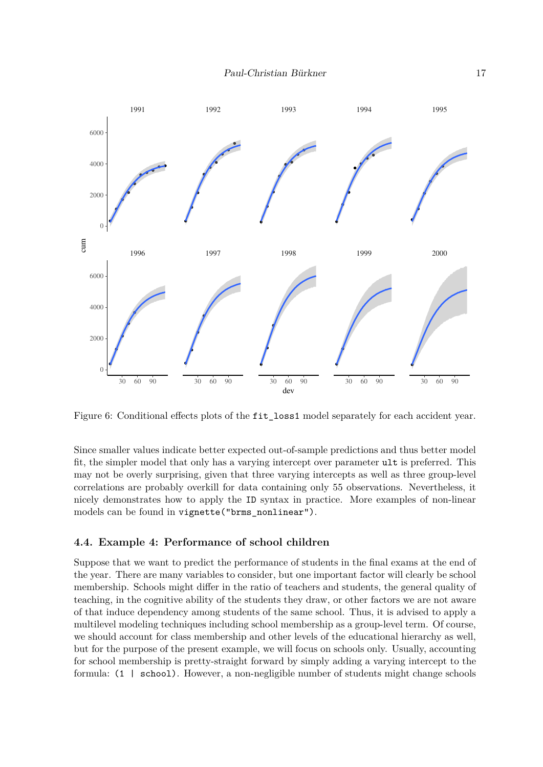

<span id="page-16-0"></span>Figure 6: Conditional effects plots of the fit loss1 model separately for each accident year.

Since smaller values indicate better expected out-of-sample predictions and thus better model fit, the simpler model that only has a varying intercept over parameter ult is preferred. This may not be overly surprising, given that three varying intercepts as well as three group-level correlations are probably overkill for data containing only 55 observations. Nevertheless, it nicely demonstrates how to apply the ID syntax in practice. More examples of non-linear models can be found in vignette("brms\_nonlinear").

### **4.4. Example 4: Performance of school children**

Suppose that we want to predict the performance of students in the final exams at the end of the year. There are many variables to consider, but one important factor will clearly be school membership. Schools might differ in the ratio of teachers and students, the general quality of teaching, in the cognitive ability of the students they draw, or other factors we are not aware of that induce dependency among students of the same school. Thus, it is advised to apply a multilevel modeling techniques including school membership as a group-level term. Of course, we should account for class membership and other levels of the educational hierarchy as well, but for the purpose of the present example, we will focus on schools only. Usually, accounting for school membership is pretty-straight forward by simply adding a varying intercept to the formula: (1 | school). However, a non-negligible number of students might change schools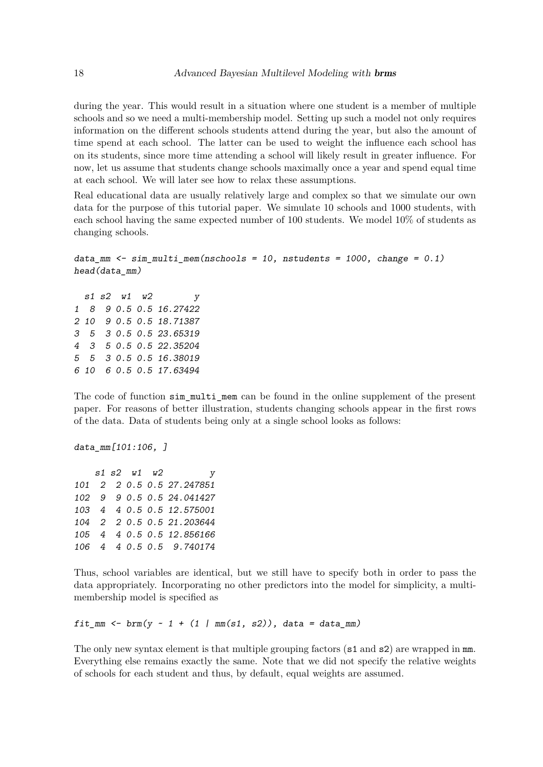during the year. This would result in a situation where one student is a member of multiple schools and so we need a multi-membership model. Setting up such a model not only requires information on the different schools students attend during the year, but also the amount of time spend at each school. The latter can be used to weight the influence each school has on its students, since more time attending a school will likely result in greater influence. For now, let us assume that students change schools maximally once a year and spend equal time at each school. We will later see how to relax these assumptions.

Real educational data are usually relatively large and complex so that we simulate our own data for the purpose of this tutorial paper. We simulate 10 schools and 1000 students, with each school having the same expected number of 100 students. We model 10% of students as changing schools.

```
data_mm <- sim_multi_mem(nschools = 10, nstudents = 1000, change = 0.1)
head(data_mm)
```
*s1 s2 w1 w2 y 1 8 9 0.5 0.5 16.27422 2 10 9 0.5 0.5 18.71387 3 5 3 0.5 0.5 23.65319 4 3 5 0.5 0.5 22.35204 5 5 3 0.5 0.5 16.38019 6 10 6 0.5 0.5 17.63494*

The code of function sim\_multi\_mem can be found in the online supplement of the present paper. For reasons of better illustration, students changing schools appear in the first rows of the data. Data of students being only at a single school looks as follows:

*data\_mm[101:106, ]*

*s1 s2 w1 w2 y 101 2 2 0.5 0.5 27.247851 102 9 9 0.5 0.5 24.041427 103 4 4 0.5 0.5 12.575001 104 2 2 0.5 0.5 21.203644 105 4 4 0.5 0.5 12.856166 106 4 4 0.5 0.5 9.740174*

Thus, school variables are identical, but we still have to specify both in order to pass the data appropriately. Incorporating no other predictors into the model for simplicity, a multimembership model is specified as

*fit\_mm <- brm(y ~ 1 + (1 | mm(s1, s2)), data = data\_mm)* 

The only new syntax element is that multiple grouping factors ( $s1$  and  $s2$ ) are wrapped in mm. Everything else remains exactly the same. Note that we did not specify the relative weights of schools for each student and thus, by default, equal weights are assumed.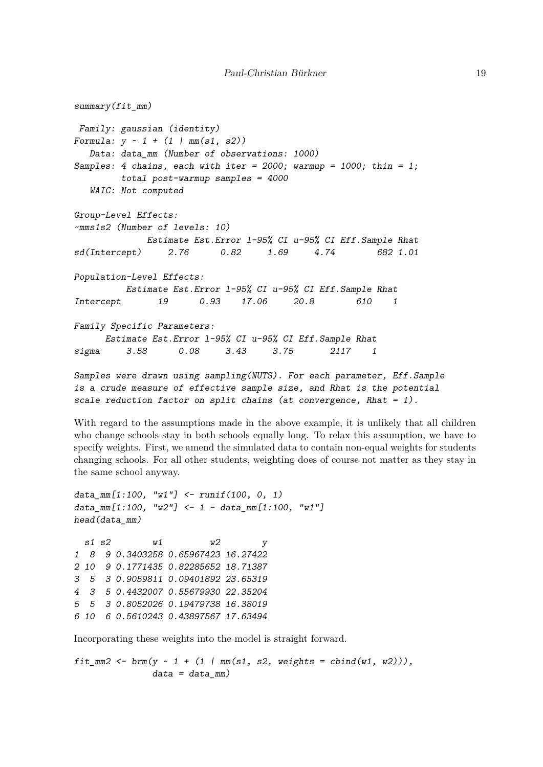```
summary(fit_mm)
Family: gaussian (identity)
Formula: y ~ 1 + (1 | mm(s1, s2))
  Data: data_mm (Number of observations: 1000)
Samples: 4 chains, each with iter = 2000; warmup = 1000; thin = 1;
        total post-warmup samples = 4000
  WAIC: Not computed
Group-Level Effects:
~mms1s2 (Number of levels: 10)
             Estimate Est.Error l-95% CI u-95% CI Eff.Sample Rhat
sd(Intercept) 2.76 0.82 1.69 4.74 682 1.01
Population-Level Effects:
         Estimate Est.Error l-95% CI u-95% CI Eff.Sample Rhat
Intercept 19 0.93 17.06 20.8 610 1
Family Specific Parameters:
     Estimate Est.Error l-95% CI u-95% CI Eff.Sample Rhat
sigma 3.58 0.08 3.43 3.75 2117 1
Samples were drawn using sampling(NUTS). For each parameter, Eff.Sample
is a crude measure of effective sample size, and Rhat is the potential
scale reduction factor on split chains (at convergence, Rhat = 1).
```
With regard to the assumptions made in the above example, it is unlikely that all children who change schools stay in both schools equally long. To relax this assumption, we have to specify weights. First, we amend the simulated data to contain non-equal weights for students changing schools. For all other students, weighting does of course not matter as they stay in the same school anyway.

```
data_mm[1:100, "w1"] <- runif(100, 0, 1)
data_mm[1:100, "w2"] <- 1 - data_mm[1:100, "w1"]
head(data_mm)
 s1 s2 w1 w2 y
```
*1 8 9 0.3403258 0.65967423 16.27422 2 10 9 0.1771435 0.82285652 18.71387 3 5 3 0.9059811 0.09401892 23.65319 4 3 5 0.4432007 0.55679930 22.35204 5 5 3 0.8052026 0.19479738 16.38019 6 10 6 0.5610243 0.43897567 17.63494*

Incorporating these weights into the model is straight forward.

```
fit_mm2 <- brm(y ~ 1 + (1 | mm(s1, s2, weights = cbind(w1, w2))),
              data = data_mm)
```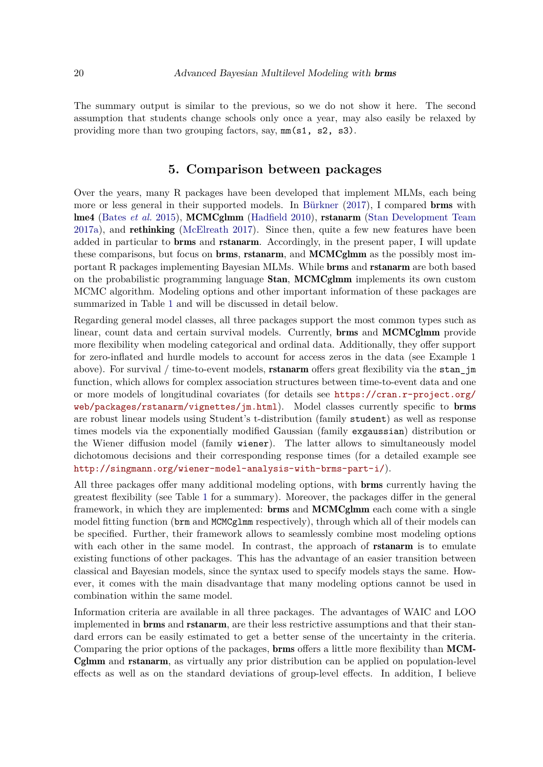The summary output is similar to the previous, so we do not show it here. The second assumption that students change schools only once a year, may also easily be relaxed by providing more than two grouping factors, say, mm(s1, s2, s3).

## **5. Comparison between packages**

Over the years, many R packages have been developed that implement MLMs, each being more or less general in their supported models. In [Bürkner](#page-20-3) [\(2017\)](#page-20-3), I compared brms with lme4 [\(Bates](#page-20-4) *et al.* [2015\)](#page-20-4), MCMCglmm [\(Hadfield 2010\)](#page-22-12), rstanarm [\(Stan Development Team](#page-23-3) [2017a\)](#page-23-3), and rethinking [\(McElreath 2017\)](#page-22-15). Since then, quite a few new features have been added in particular to brms and rstanarm. Accordingly, in the present paper, I will update these comparisons, but focus on brms, rstanarm, and MCMCglmm as the possibly most important R packages implementing Bayesian MLMs. While brms and rstanarm are both based on the probabilistic programming language Stan, MCMCglmm implements its own custom MCMC algorithm. Modeling options and other important information of these packages are summarized in Table [1](#page-21-0) and will be discussed in detail below.

Regarding general model classes, all three packages support the most common types such as linear, count data and certain survival models. Currently, brms and MCMCglmm provide more flexibility when modeling categorical and ordinal data. Additionally, they offer support for zero-inflated and hurdle models to account for access zeros in the data (see Example 1 above). For survival  $/$  time-to-event models, **rstanarm** offers great flexibility via the stan<sub>l</sub> function, which allows for complex association structures between time-to-event data and one or more models of longitudinal covariates (for details see [https://cran.r-project.org/](https://cran.r-project.org/web/packages/rstanarm/vignettes/jm.html) [web/packages/rstanarm/vignettes/jm.html](https://cran.r-project.org/web/packages/rstanarm/vignettes/jm.html)). Model classes currently specific to brms are robust linear models using Student's t-distribution (family student) as well as response times models via the exponentially modified Gaussian (family exgaussian) distribution or the Wiener diffusion model (family wiener). The latter allows to simultaneously model dichotomous decisions and their corresponding response times (for a detailed example see <http://singmann.org/wiener-model-analysis-with-brms-part-i/>).

All three packages offer many additional modeling options, with brms currently having the greatest flexibility (see Table [1](#page-21-0) for a summary). Moreover, the packages differ in the general framework, in which they are implemented: brms and MCMCglmm each come with a single model fitting function (brm and MCMCglmm respectively), through which all of their models can be specified. Further, their framework allows to seamlessly combine most modeling options with each other in the same model. In contrast, the approach of **ritionarm** is to emulate existing functions of other packages. This has the advantage of an easier transition between classical and Bayesian models, since the syntax used to specify models stays the same. However, it comes with the main disadvantage that many modeling options cannot be used in combination within the same model.

Information criteria are available in all three packages. The advantages of WAIC and LOO implemented in **brms** and **rstanarm**, are their less restrictive assumptions and that their standard errors can be easily estimated to get a better sense of the uncertainty in the criteria. Comparing the prior options of the packages, **brms** offers a little more flexibility than **MCM**-Cglmm and rstanarm, as virtually any prior distribution can be applied on population-level effects as well as on the standard deviations of group-level effects. In addition, I believe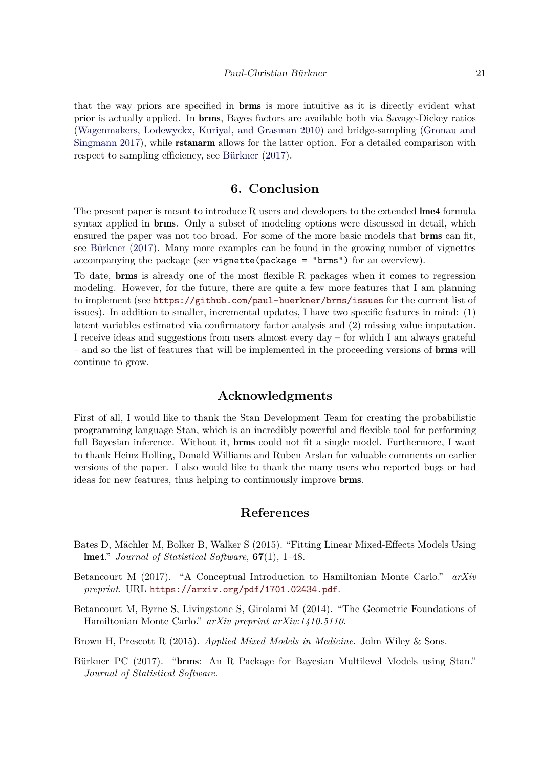that the way priors are specified in brms is more intuitive as it is directly evident what prior is actually applied. In brms, Bayes factors are available both via Savage-Dickey ratios [\(Wagenmakers, Lodewyckx, Kuriyal, and Grasman 2010\)](#page-23-13) and bridge-sampling [\(Gronau and](#page-22-16) [Singmann 2017\)](#page-22-16), while rstanarm allows for the latter option. For a detailed comparison with respect to sampling efficiency, see [Bürkner](#page-20-3) [\(2017\)](#page-20-3).

## **6. Conclusion**

The present paper is meant to introduce R users and developers to the extended lme4 formula syntax applied in **brms**. Only a subset of modeling options were discussed in detail, which ensured the paper was not too broad. For some of the more basic models that brms can fit, see [Bürkner](#page-20-3) [\(2017\)](#page-20-3). Many more examples can be found in the growing number of vignettes accompanying the package (see vignette(package = "brms") for an overview).

To date, brms is already one of the most flexible R packages when it comes to regression modeling. However, for the future, there are quite a few more features that I am planning to implement (see <https://github.com/paul-buerkner/brms/issues> for the current list of issues). In addition to smaller, incremental updates, I have two specific features in mind: (1) latent variables estimated via confirmatory factor analysis and (2) missing value imputation. I receive ideas and suggestions from users almost every day – for which I am always grateful – and so the list of features that will be implemented in the proceeding versions of brms will continue to grow.

## **Acknowledgments**

First of all, I would like to thank the Stan Development Team for creating the probabilistic programming language Stan, which is an incredibly powerful and flexible tool for performing full Bayesian inference. Without it, **brms** could not fit a single model. Furthermore, I want to thank Heinz Holling, Donald Williams and Ruben Arslan for valuable comments on earlier versions of the paper. I also would like to thank the many users who reported bugs or had ideas for new features, thus helping to continuously improve brms.

## **References**

- <span id="page-20-4"></span>Bates D, Mächler M, Bolker B, Walker S (2015). "Fitting Linear Mixed-Effects Models Using lme4." *Journal of Statistical Software*, **67**(1), 1–48.
- <span id="page-20-2"></span>Betancourt M (2017). "A Conceptual Introduction to Hamiltonian Monte Carlo." *arXiv preprint*. URL <https://arxiv.org/pdf/1701.02434.pdf>.
- <span id="page-20-1"></span>Betancourt M, Byrne S, Livingstone S, Girolami M (2014). "The Geometric Foundations of Hamiltonian Monte Carlo." *arXiv preprint arXiv:1410.5110*.
- <span id="page-20-0"></span>Brown H, Prescott R (2015). *Applied Mixed Models in Medicine*. John Wiley & Sons.
- <span id="page-20-3"></span>Bürkner PC (2017). "brms: An R Package for Bayesian Multilevel Models using Stan." *Journal of Statistical Software*.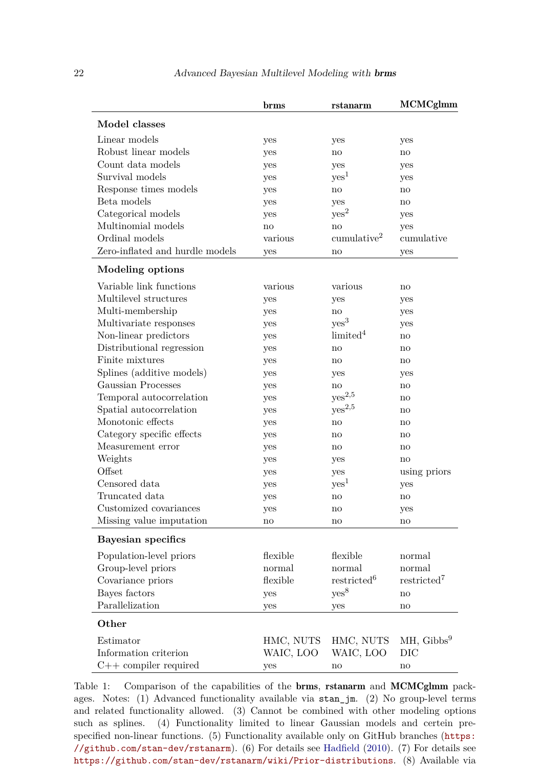|                                 | brms      | rstanarm                | <b>MCMCglmm</b>         |
|---------------------------------|-----------|-------------------------|-------------------------|
| Model classes                   |           |                         |                         |
| Linear models                   | yes       | yes                     | yes                     |
| Robust linear models            | yes       | no                      | no                      |
| Count data models               | yes       | yes                     | yes                     |
| Survival models                 | yes       | yes <sup>1</sup>        | yes                     |
| Response times models           | yes       | no                      | no                      |
| Beta models                     | yes       | yes                     | no                      |
| Categorical models              | yes       | yes <sup>2</sup>        | yes                     |
| Multinomial models              | no        | no                      | yes                     |
| Ordinal models                  | various   | cumulative <sup>2</sup> | cumulative              |
| Zero-inflated and hurdle models | yes       | no                      | yes                     |
| Modeling options                |           |                         |                         |
| Variable link functions         | various   | various                 | $\mathbf{no}$           |
| Multilevel structures           | yes       | yes                     | yes                     |
| Multi-membership                | yes       | $\mathop{\mathrm{no}}$  | yes                     |
| Multivariate responses          | yes       | yes <sup>3</sup>        | yes                     |
| Non-linear predictors           | yes       | limited <sup>4</sup>    | no                      |
| Distributional regression       | yes       | no                      | no                      |
| Finite mixtures                 | yes       | no                      | no                      |
| Splines (additive models)       | yes       | yes                     | yes                     |
| Gaussian Processes              | yes       | $\mathop{\mathrm{no}}$  | no                      |
| Temporal autocorrelation        | yes       | $yes^{2,5}$             | no                      |
| Spatial autocorrelation         | yes       | $yes^{2,5}$             | no                      |
| Monotonic effects               | yes       | no                      | no                      |
| Category specific effects       | yes       | no                      | no                      |
| Measurement error               | yes       | no                      | no                      |
| Weights                         | yes       | yes                     | no                      |
| Offset                          | yes       | yes                     | using priors            |
| Censored data                   | yes       | yes <sup>1</sup>        | yes                     |
| Truncated data                  | yes       | no                      | no                      |
| Customized covariances          | yes       | no                      | yes                     |
| Missing value imputation        | no        | no                      | no                      |
| Bayesian specifics              |           |                         |                         |
| Population-level priors         | flexible  | flexible                | normal                  |
| Group-level priors              | normal    | normal                  | normal                  |
| Covariance priors               | flexible  | restricted <sup>6</sup> | restricted <sup>7</sup> |
| Bayes factors                   | yes       | yes <sup>8</sup>        | no                      |
| Parallelization                 | yes       | yes                     | $\mathop{\mathrm{no}}$  |
| Other                           |           |                         |                         |
| Estimator                       | HMC, NUTS | HMC, NUTS               | $MH, Gibbs^9$           |
| Information criterion           | WAIC, LOO | WAIC, LOO               | DIC                     |
| $C++$ compiler required         | yes       | $\mathop{\mathrm{no}}$  | $\mathop{\mathrm{no}}$  |

<span id="page-21-0"></span>Table 1: Comparison of the capabilities of the brms, rstanarm and MCMCglmm packages. Notes: (1) Advanced functionality available via stan\_jm. (2) No group-level terms and related functionality allowed. (3) Cannot be combined with other modeling options such as splines. (4) Functionality limited to linear Gaussian models and certein prespecified non-linear functions. (5) Functionality available only on GitHub branches ([https:](https://github.com/stan-dev/rstanarm) [//github.com/stan-dev/rstanarm](https://github.com/stan-dev/rstanarm)). (6) For details see [Hadfield](#page-22-12) [\(2010\)](#page-22-12). (7) For details see <https://github.com/stan-dev/rstanarm/wiki/Prior-distributions>. (8) Available via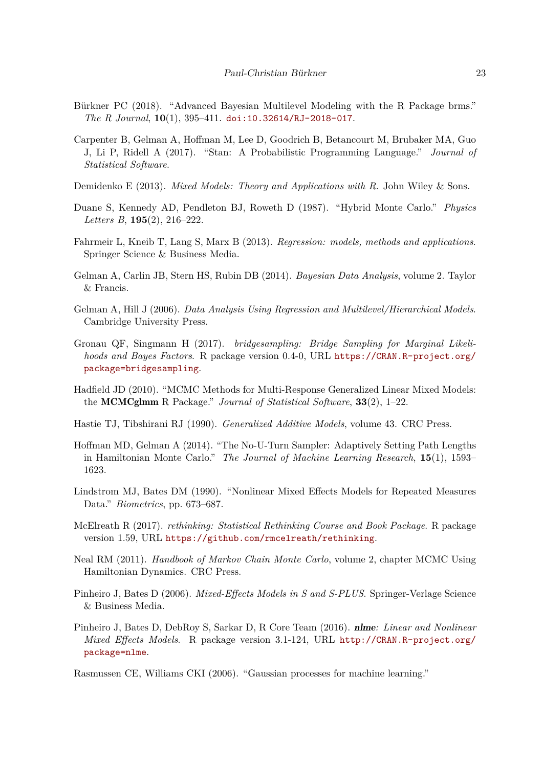- <span id="page-22-0"></span>Bürkner PC (2018). "Advanced Bayesian Multilevel Modeling with the R Package brms." *The R Journal*, **10**(1), 395–411. [doi:10.32614/RJ-2018-017](https://doi.org/10.32614/RJ-2018-017).
- <span id="page-22-8"></span>Carpenter B, Gelman A, Hoffman M, Lee D, Goodrich B, Betancourt M, Brubaker MA, Guo J, Li P, Ridell A (2017). "Stan: A Probabilistic Programming Language." *Journal of Statistical Software*.
- <span id="page-22-1"></span>Demidenko E (2013). *Mixed Models: Theory and Applications with R*. John Wiley & Sons.
- <span id="page-22-9"></span>Duane S, Kennedy AD, Pendleton BJ, Roweth D (1987). "Hybrid Monte Carlo." *Physics Letters B*, **195**(2), 216–222.
- <span id="page-22-14"></span>Fahrmeir L, Kneib T, Lang S, Marx B (2013). *Regression: models, methods and applications*. Springer Science & Business Media.
- <span id="page-22-7"></span>Gelman A, Carlin JB, Stern HS, Rubin DB (2014). *Bayesian Data Analysis*, volume 2. Taylor & Francis.
- <span id="page-22-2"></span>Gelman A, Hill J (2006). *Data Analysis Using Regression and Multilevel/Hierarchical Models*. Cambridge University Press.
- <span id="page-22-16"></span>Gronau QF, Singmann H (2017). *bridgesampling: Bridge Sampling for Marginal Likelihoods and Bayes Factors*. R package version 0.4-0, URL [https://CRAN.R-project.org/](https://CRAN.R-project.org/package=bridgesampling) [package=bridgesampling](https://CRAN.R-project.org/package=bridgesampling).
- <span id="page-22-12"></span>Hadfield JD (2010). "MCMC Methods for Multi-Response Generalized Linear Mixed Models: the MCMCglmm R Package." *Journal of Statistical Software*, **33**(2), 1–22.
- <span id="page-22-6"></span>Hastie TJ, Tibshirani RJ (1990). *Generalized Additive Models*, volume 43. CRC Press.
- <span id="page-22-11"></span>Hoffman MD, Gelman A (2014). "The No-U-Turn Sampler: Adaptively Setting Path Lengths in Hamiltonian Monte Carlo." *The Journal of Machine Learning Research*, **15**(1), 1593– 1623.
- <span id="page-22-4"></span>Lindstrom MJ, Bates DM (1990). "Nonlinear Mixed Effects Models for Repeated Measures Data." *Biometrics*, pp. 673–687.
- <span id="page-22-15"></span>McElreath R (2017). *rethinking: Statistical Rethinking Course and Book Package*. R package version 1.59, URL <https://github.com/rmcelreath/rethinking>.
- <span id="page-22-10"></span>Neal RM (2011). *Handbook of Markov Chain Monte Carlo*, volume 2, chapter MCMC Using Hamiltonian Dynamics. CRC Press.
- <span id="page-22-3"></span>Pinheiro J, Bates D (2006). *Mixed-Effects Models in S and S-PLUS*. Springer-Verlage Science & Business Media.
- <span id="page-22-13"></span>Pinheiro J, Bates D, DebRoy S, Sarkar D, R Core Team (2016). nlme*: Linear and Nonlinear Mixed Effects Models*. R package version 3.1-124, URL [http://CRAN.R-project.org/](http://CRAN.R-project.org/package=nlme) [package=nlme](http://CRAN.R-project.org/package=nlme).

<span id="page-22-5"></span>Rasmussen CE, Williams CKI (2006). "Gaussian processes for machine learning."